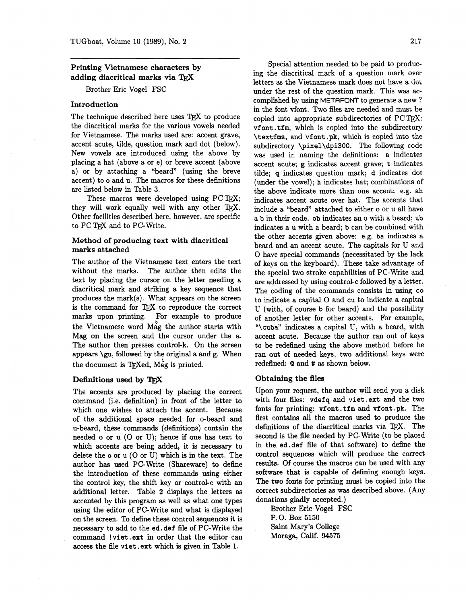# **Printing Vietnamese characters by adding diacritical marks via**

Brother Eric Vogel FSC

### **Introduction**

The technique described here uses TFX to produce the diacritical marks for the various vowels needed for Vietnamese. The marks used are: accent grave, accent acute, tilde, question mark and dot (below). New vowels are introduced using the above by placing a hat (above a or e) or breve accent (above a) or by attaching a "beard" (using the breve accent) to o and u. The macros for these definitions are listed below in Table **3.** 

These macros were developed using  $PC$  T<sub>F</sub>X; they will work equally well with any other TFX. Other facilities described here, however, are specific to PC TEX and to PC-Write.

### **Method of producing text with diacritical marks attached**

The author of the Vietnamese text enters the text without the marks. The author then edits the text by placing the cursor on the letter needing a diacritical mark and striking a key sequence that produces the mark(s). What appears on the screen is the command for QX to reproduce the correct marks upon printing. For example to produce the Vietnamese word Mag the author starts with Mag on the screen and the cursor under the a. The author then presses control-k. On the screen appears **\gu,** followed by the original a and g. When the document is TEXed, Mag is printed.

## **Definitions used by TFX**

The accents are produced by placing the correct command (i.e. definition) in front of the letter to which one wishes to attach the accent. Because of the additional space needed for o-beard and u-beard, these commands (definitions) contain the needed o or u (0 or U); hence if one has text to which accents are being added, it is necessary to delete the o or u (0 or U) which is in the text. The author has used PC-Write (Shareware) to define the introduction of these commands using either the control key, the shift key or control-c with an additional letter. Table 2 displays the letters as accented by this program **as** well as what one types using the editor of PC-Write and what is displayed on the screen. To define these control sequences it is necessary to add to the ed. def file of PC-Write the command !viet .ext in order that the editor can access the file viet . ext which is given in Table 1.

Special attention needed to be paid to producing the diacritical mark of a question mark over letters as the Vietnamese mark does not have a dot under the rest of the question mark. This was accomplished by using METAFONT to generate a new ? in the font vfont. Two files are needed and must be copied into appropriate subdirectories of  $PC$ TFX: vf ont . tfm, which is copied into the subdirectory \textfms, and vf ont **.pk,** which is copied into the subdirectory \pixel\dpi300. The following code was used in naming the definitions: a indicates accent acute; g indicates accent grave; t indicates tilde; q indicates question mark; d indicates dot (under the vowel); h indicates hat; combinations of the above indicate more than one accent: e.g. ah indicates accent acute over hat. The accents that include a "beard" attached to either o or u all have a b in their code. ob indicates an o with a beard; ub indicates a u with a beard; b can be combined with the other accents given above: e.g. ba indicates a beard and an accent acute. The capitals for U and 0 have special commands (necessitated by the lack of keys on the keyboard). These take advantage of the special two stroke capabilities of PC-Write and are addressed by using control-c followed by a letter. The coding of the commands consists in using co to indicate a capital 0 and cu to indicate a capital U (with, of course b for beard) and the possibility of another letter for other accents. For example, "\cuba" indicates a capital U, with a beard, with accent acute. Because the author ran out of keys to be redefined using the above method before he ran out of needed keys, two additional keys were redefined:  $Q$  and  $#$  as shown below.

#### **Obtaining the files**

Upon your request, the author will send you a disk with four files: vdefq and viet . ext and the two fonts for printing: vfont.tfm and vfont.pk. The first contains all the macros used to produce the definitions of the diacritical marks via QX. The second is the file needed by PC-Write (to be placed in the ed. def file of that software) to define the control sequences which will produce the correct results. Of course the macros can be used with any software that is capable of defining enough keys. The two fonts for printing must be copied into the correct subdirectories **as** was described above. (Any donations gladly accepted.)

Brother Eric Vogel FSC P. 0. Box 5150 Saint Mary's College Moraga, Calif. 94575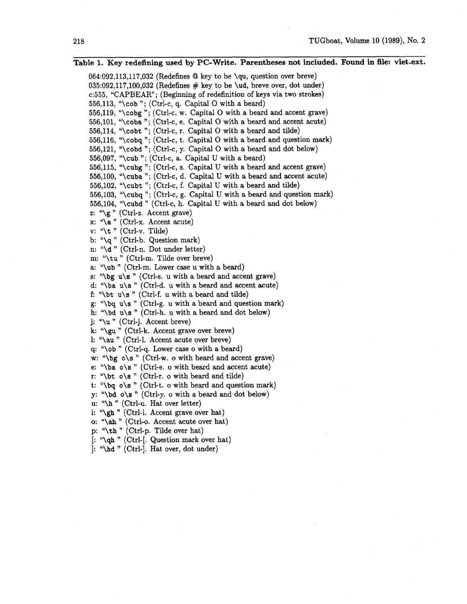**Table 1. Key redefining used by PC-Write. Parentheses not included. Found in file: viet.ext.**  064:092,113,117,032 (Redefines @ key to be \qu, question over breve)  $035:092.117,100.032$  (Redefines  $\#$  key to be \ud, breve over, dot under) c:555, "CAPBEAR"; (Beginning of redefinition of keys via two strokes) 556,113, "\cob "; (Ctrl-c, q. Capital O with a beard) 556,119, "\cobg "; (Ctrl-c, w. Capital O with a beard and accent grave) 556,101, "\coba "; (Ctrl-c, e. Capital 0 with a beard and accent acute) 556,114, "\cobt"; (Ctrl-c, r. Capital O with a beard and tilde) 556,116, "\cobq "; (Ctrl-c, t. Capital 0 with a beard and question mark) 556,121, "\cobd "; (Ctrl-c, y. Capital 0 with a beard and dot below) 556,097, "\cub "; (Ctrl-c, a. Capital U with a beard) 556,115, "\cubg "; (Ctrl-c, s. Capital U with a beard and accent grave) 556,100, "\cuba "; (Ctrl-c, d. Capital U with a beard and accent acute) 556,102, "\cubt "; (Ctrl-c, f. Capital U with a beard and tilde) 556,103, "\cubq "; (Ctrl-c, g. Capital U with a beard and question mark) 556,104, "\cubd " (Ctrl-c, h. Capital U with a beard and dot below) z: **"\g** " (Ctrl-z. Accent grave) x: **"\a** " (Ctrl-x. Accent acute) v: "\t " (Ctrl-v. Tilde) b: "\q " (Ctrl-b. Question mark) n: "\d " (Ctrl-n. Dot under letter) m: "\tu " (Ctrl-m. Tilde over breve) a: "\ub " (Ctrl-m. Lower case u with a beard) s: " $\log u \simeq$  (Ctrl-s. u with a beard and accent grave) d: " $\bar{u}$  u\s " (Ctrl-d. u with a beard and accent acute) f: " $\beta$  " (Ctrl-f. u with a beard and tilde) g: " $\log u \$ " (Ctrl-g. u with a beard and question mark) h: "\bd u\s " (Ctrl-h. u with a beard and dot below) j: "\u " (Ctrl-j. Accent breve) k: **"\gu** " (Ctrl-k. Accent grave over breve) 1: "\au " (Ctrl-1. Accent acute over breve) q: "\ob " (Ctrl-q. Lower case o with a beard) w: "\bg o\s " (Ctrl-w. o with beard and accent grave) e: "\ba o\s " (Ctrl-e. o with beard and accent acute) r: "\bt  $o\$ s" (Ctrl-r. o with beard and tilde) t: " $\b{bq}$  o s " (Ctrl-t. o with beard and question mark) y: "\bd o\s " (Ctrl-y. o with a beard and dot below) u: "\h " (Ctrl-u. Hat over letter) i: "\gh "(Ctrl-i. Accent grave over hat) o: **"\ah** " (Ctrl-o. Accent acute over hat) p: "\th " (Ctrl-p. Tilde over hat) [: "\qh " (Ctrl-[. Question mark over hat)  $\cdot$  "\hd " (Ctrl- $\cdot$ ]. Hat over, dot under)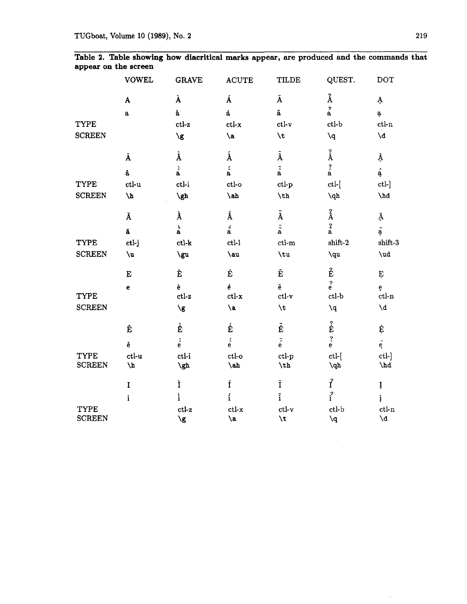|               | <b>VOWEL</b>       | <b>GRAVE</b>             | <b>ACUTE</b>             | TILDE                        | QUEST.                                          | <b>DOT</b>              |
|---------------|--------------------|--------------------------|--------------------------|------------------------------|-------------------------------------------------|-------------------------|
|               | $\pmb{\mathrm{A}}$ | À                        | Á                        | Ã                            | $\mbox{\AA}$                                    | Ą.                      |
|               | $\bf a$            | à                        | á                        | $\tilde{\textbf{a}}$         | $\hat{a}$                                       | ą                       |
| TYPE          |                    | ${\it ctl-z}$            | $ctl-x$                  | $ctl-v$                      | ctl-b                                           | $ctl-n$                 |
| <b>SCREEN</b> |                    | $\sqrt{g}$               | $\lambda$                | $\lambda t$                  | ١q                                              | $\mathcal{A}$           |
|               | Â                  | À                        | $\acute{\text{A}}$       | $\tilde{\text{A}}$           | $\hat{\text{A}}$                                | Â                       |
|               | â                  | $\hat{\hat{\mathbf{a}}}$ | $\acute{\hat{\rm a}}$    | $\tilde{\hat{\mathbf{a}}}$   | $\hat{a}$                                       | $\hat{a}$               |
| TYPE          | ctl-u              | ctl-i                    | ctl-o                    | ctl-p                        | $ctl-$ [                                        | $ctl-$ ]                |
| <b>SCREEN</b> | $\Lambda$          | $\sqrt{gh}$              | $\verb \ah $             | $\th$                        | $\qquad \qquad \qquad \setminus \! \mathrm{qh}$ | $\hbox{\textbackslash}$ |
|               | Ă                  | À                        | Á                        | $\tilde{\text{A}}$           | $\pmb{\mathring{A}}$                            | Ă                       |
|               | ă                  | $_{\rm a}^{\rm s}$       | $\overset{\circ}{\rm a}$ | $\tilde{\tilde{\mathbf{a}}}$ | $\frac{3}{a}$                                   | $\check{\rm a}$         |
| TYPE          | ctl-j              | $ctl-k$                  | $ctl-1$                  | $ctl-m$                      | $\mathbf{shift}\text{-}2$                       | shift-3                 |
| <b>SCREEN</b> | $\mathbf{u}$       | \gu                      | \au                      | \tu                          | \qu                                             | $\sqrt{ud}$             |
|               | ${\bf E}$          | È                        | É                        | Ê                            | $\hat{\mathbf{E}}$                              | Ė                       |
|               | $\mathbf{e}$       | è                        | $\acute{\text{e}}$       | ĕ                            | $\stackrel{?}{e}$                               | ę                       |
| TYPE          |                    | $ctl-z$                  | $ctl-x$                  | $\operatorname{ctl-v}$       | $ctl-b$                                         | $ctl-n$                 |
| <b>SCREEN</b> |                    | $\sqrt{g}$               | $\lambda$ a              | \t                           | $\mathbf{q}$                                    | $\mathcal{A}$           |
|               | Ê                  | È                        | É                        | $\tilde{\hat{\mathbf{E}}}$   | $\hat{\hat{\mathbf{E}}}$                        | Ê                       |
|               | ê                  | $\hat{\hat{\mathbf{e}}}$ | $\acute{\hat{\rm e}}$    | $\tilde{\hat{\mathrm{e}}}$   | $\hat{\hat{\mathbf{e}}}$                        | $\hat{e}$               |
| TYPE          | $ct$ -u            | ctl-i                    | $ctl-o$                  | ctl-p                        | $ctl-$ [                                        | ctl-]                   |
| <b>SCREEN</b> | $\lambda$          | $\sqrt{gh}$              | $\lambda$                | $\hbar$                      | $\qquad \qquad \text{ab}$                       | $\hbox{\sf h}$ d        |
|               | $\mathbf I$        | Ì                        | Í                        | $\tilde{\text{I}}$           | $\hat{\mathbf{f}}$                              | İ                       |
|               | $\mathbf i$        | ì                        | $\mathbf{i}$             | $\tilde{i}$                  | $\mathbf{r}^2$                                  | į                       |
| TYPE          |                    | ctl-z                    | $ctl-x$                  | $ctl-v$                      | ctl-b                                           | $ctl-n$                 |
| <b>SCREEN</b> |                    | $\sqrt{g}$               | $\lambda$ a              | <b>\t</b>                    | $\mathbf{q}$                                    | ١d                      |

**Table 2. Table showing how diacritical marks appear, are produced and the commands that appear on the screen**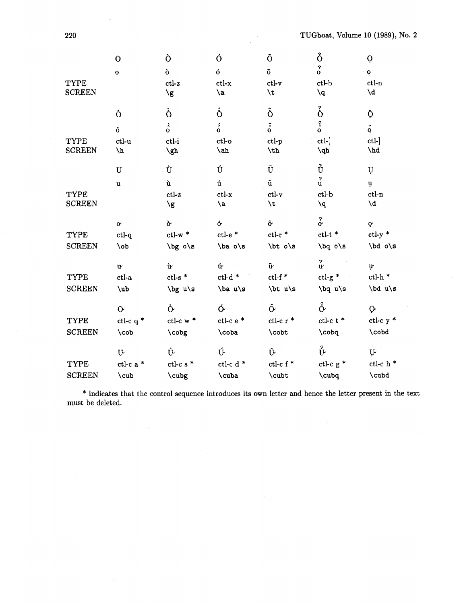|               | $\mathbf O$    | Ò                                  | Ó                     | Õ                        | $\delta$                             | Ò                                 |
|---------------|----------------|------------------------------------|-----------------------|--------------------------|--------------------------------------|-----------------------------------|
|               | $\mathbf{o}$   | ò                                  | ó                     | $\tilde{0}$              | $\begin{matrix} 2 \\ 0 \end{matrix}$ | $\mathbf{Q}$                      |
| <b>TYPE</b>   |                | $ctl-z$                            | $ctl-x$               | $\operatorname{ctl-v}$   | $ctl-b$                              | $ctl-n$                           |
| <b>SCREEN</b> |                | $\sqrt{g}$                         | \a                    | $\sqrt{t}$               | ١q                                   | $\mathsf{b}/\mathsf{d}$           |
|               | Ô              | Ò                                  | $\acute{\mathrm{o}}$  | $\ddot{\delta}$          | ő                                    | Ô.                                |
|               | ô              | $\delta$                           | $\acute{\hat{\rm o}}$ | $\tilde{\hat{o}}$        | $\hat{c}$                            | $\hat{\mathbf{Q}}$                |
| TYPE          | $ct1-u$        | ctl-i                              | ctl-o                 | ctl-p                    | $ctl-$                               | ctl-                              |
| <b>SCREEN</b> | $\sqrt{v}$     | $\sqrt{gh}$                        | $\lambda$ ah          | $\hbar$                  | $\sqrt{dp}$                          | $\Delta$                          |
|               | $\mathbf U$    | Ù                                  | Ú                     | Ũ                        | Ů                                    | U                                 |
|               | $\mathbf u$    | ù                                  | ú                     | ũ                        | $\mathbf{P}$<br>u                    | $\mathbf{\mu}$                    |
| TYPE          |                | $ctl-z$                            | $ctl-x$               | $ct$ l-v                 | $ctl-b$                              | $ctl-n$                           |
| <b>SCREEN</b> |                | \g                                 | $\lambda$ a           | \t                       | $\mathbf{q}$                         | ١d                                |
|               | $\pmb{\sigma}$ | $\mathbf{\hat{c}}$                 | $\acute{\sigma}$      | $\tilde{\mathbf{o}}$     | $\overset{?}{\alpha}$                | $\dot{\mathbf{Q}}$                |
| TYPE          | $ctl-q$        | $ctl-w$ *                          | $ct$ - $e^*$          | $ctl-r$ *                | $ctl-t$ $*$                          | $ctl-y$ *                         |
| <b>SCREEN</b> | $\lambda$ ob   | \bg o\s                            | $\ba$ o\s             | $\b{t}$ o/s              | $\log o/s$                           | \bd o\s                           |
|               | $\mathbf{u}$   | ù                                  | ú<br>$\sim 10^{11}$ m | $\tilde{\mathbf{u}}$     | $\frac{2}{u}$                        | ų                                 |
| <b>TYPE</b>   | $ct1-a$        | $\mathsf{ctl}\text{-}\mathsf{s}$ * | $ctl-d$ *             | $\operatorname{ctl-f}$ * | $ctl-g$ *                            | $\operatorname{ctl-h}\nolimits$ * |
| <b>SCREEN</b> | $\mathbf{u}$   | \bg u\s                            | \ba u\s               | \bt u\s                  | $\log u$ s                           | \bd u\s                           |
|               | $\mathbf{o}$   | Ò                                  | $\acute{\sigma}$      | $\tilde{\mathbf{o}}$     | $\delta$                             | $\mathsf{O}$                      |
| <b>TYPE</b>   | ctl-c $q^*$    | ctl-c $\le^*$                      | $ctl-c e$ *           | ctl-c $\mathbf{r}$ *     | ctl-c t $^\ast$                      | ctl-c y *                         |
| <b>SCREEN</b> | $\cosh$        | \cobg                              | \coba                 | \cobt                    | \cobq                                | \cobd                             |
|               | U              | Ù                                  | Ú                     | $\tilde{\mathbf{U}}$     | $\stackrel{?}{\Psi}$                 | Ų.                                |
| <b>TYPE</b>   | ctl-c a *      | ctl-c s $*$                        | ctl-c d $*$           | ctl-c f $^\star$         | $ctl-c$ g *                          | ctl-c h $^{\ast}$                 |
| <b>SCREEN</b> | \cub           | \cubg                              | \cuba                 | \cubt                    | \cubq                                | \cubd                             |

\* indicates that the control sequence introduces its own letter and hence the letter present in the text must be deleted.